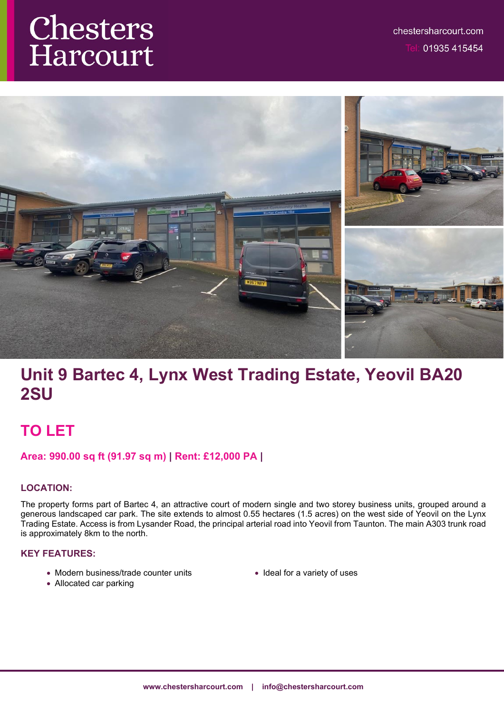# Chesters Harcourt



# **Unit 9 Bartec 4, Lynx West Trading Estate, Yeovil BA20 2SU**

## **TO LET**

## **Area: 990.00 sq ft (91.97 sq m) | Rent: £12,000 PA |**

## **LOCATION:**

The property forms part of Bartec 4, an attractive court of modern single and two storey business units, grouped around a generous landscaped car park. The site extends to almost 0.55 hectares (1.5 acres) on the west side of Yeovil on the Lynx Trading Estate. Access is from Lysander Road, the principal arterial road into Yeovil from Taunton. The main A303 trunk road is approximately 8km to the north.

## **KEY FEATURES:**

- Modern business/trade counter units
- Ideal for a variety of uses

Allocated car parking